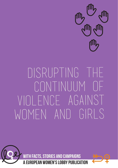

# Disrupting the continuum of Violence against WOMEN AND GIRLS



**ITH FACTS, STORIES AND CAMPAIGNS** 

**OBBY PUBL** 

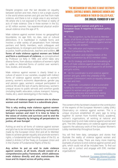Despite progress over the last decades on equality between women and men, there is not a single country in the world where women and girls are free from male violence, and there is not a single area in any woman's life where she is not exposed to the threat or reality of acts of male violence. One in three women in the EU, or 62 million women, has experienced physical and/or sexual violence since the age of 15.

Male violence against women knows no geographical boundaries, no age limit, no class, race or cultural distinctions. It is manifested in multiple forms and involves a wide variety of perpetrators from intimate partners and family members, work colleagues and acquaintances, to strangers and institutional actors such as police, health professionals, teachers and soldiers. **All forms of male violence against women are linked and form a continuum of violence,** as conceptualised by Professor Liz Kelly in 1988, and which takes very diverse forms, from obvious violations of women's rights to subtle or distorted forms of control over women's lives, bodies, and sexuality.

Male violence against women is clearly linked to a culture of sexism in our societies, coupled with indirect forms of violence against women such as women's poverty, women's economic dependence, gender pay and pension gaps, women's unequal participation in political life and the lack of parity democracy, women's unequal access to public services and common goods (including health, education, culture, transport, housing, media, etc.), sexist stereotyping in the media, etc.

#### **All forms of violence against women aim to silence women and maintain them in a subordinate place.**

**This is why ending male violence against women and girls is a prerequisite to achieving real equality between women and men! It is time to listen to the voices of victims and survivors and to end the persistent impunity by bringing all perpetrators to justice, all over Europe!**

Putting an end to all forms of violence against women and girls has to be intrinsically linked to the commitment made by the European Union (EU) and all its Member States to achieve gender equality and promote women's rights, a fundamental and founding value of the EU, as stated in Article 2 of the Treaty on European Union and in the Charter of Fundamental Rights of the EU.

**Any action to put an end to male violence against women, at all levels, should consist of a comprehensive policy framework, which addresses male violence directly and also mainstreams the issue and its impact across all policy areas.**

## 'The mechanism of violence is what destroys women, controls women, diminishes women and keeps women in their so-called place.' Eve Ensler, founder of V-Day

**Violence against women and girls is a European issue. It requires a European policy response:**

 $\Rightarrow$  The recognition, by the EU and its Member States, of all forms of male violence against women as part of a continuum of violence against women because they are women;

- $\Rightarrow$  The ratification and implementation of the Istanbul Convention by the EU;
- $\Rightarrow$  The ratification and implementation of the Istanbul Convention by all EU member states;
- $\Rightarrow$  An EU strategy and directive criminalising all forms of male violence against women and girls, and providing assistance and support to all women and girls victims;
- $\Rightarrow$  An EU coordinator to end violence against European Commission's work on equality between women and men;
- $\Rightarrow$  Systematic consultation of and sustainable funding for women's organisations providing support to women and girls victims, and campaigns, at EU, national and local levels.

The content of this factsheet is based on the contribution of the experts of the European Women's Lobby (EWL) Observatory on violence against women. This is a unique structure established 20 years ago to bring together 35 women from frontline NGOs, academia, women's organisations, all working at national and European level to end male violence against women and girls. The EWL Observatory on violence against women supports the advocacy work of the European Women's Lobby membership throughout Europe.

You will find here data, campaigns and stories that illustrate the reality of violence against women and girls in Europe today. There are many more inspiring examples of actions to end violence against women and girls, which could not all be included here. To find out more, get in contact and engage with EWL member organisations!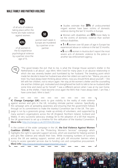## MAI F FAMILY AND PARTNER VIOLENCE



of all acts of violence taking place within the home are male violence against women.



women each week in Europe are murdered by a partner or expartner.

of all women in the EU experience psychological violence by a partner since the age of 15.

 $\bullet$  Studies estimate that  $30\%$  of undocumented migant women have been victims of domestic violence during the last 12 months in Europe.

 $\bullet$  Women with disabilities are  $40\%$  more likely to be the victims of domestic violence than women without disabilities.

 $\bullet$  1 in 4 women over 60 years of age in Europe has experienced abuse or violence in the last 12 months.

 $\bullet$  5 out of 6 women in Austria don't report the most severe acts of domestic violence to the police or another law enforcement agency.



"The good breaks the evil: that to me, is what the Orange House women's shelter in the Netherlands is all about", says Mimi. Mimi lived for many years in an abusive relationship in which she was severely beaten and humiliated by her husband. The breaking point which made her decide to leave her husband was when her oldest son said to her: "Mama, you are so tired. You have always been thinking about others, now you should think about yourself…". She left with her children, not to return again. Her stay at the women's shelter and the counselling she and her children got, motivated and strengthened her both to talk to her ex-husband after some time and stand up for herself. "I was a different person when I was at my own home. Now, at the shelter, I have become once again the Mimi that I have always been. I am free, I have come back. Mimi is back."

**IC Change Campaign (UK)** wants to give visibility to the reality of male violence against women and girls in the UK, including intimate partner violence. Specifically, I the campaign aims at spreading awareness and ensuring that the government follows  $\sf I$ through on its commitment to make the Istanbul Convention law in the UK. The campaign is run by a grassroots group, made up entirely of volunteers, and supported by many women's organisations across the UK (England, Northern Ireland, Scotland and Wales). A very successful advocacy strategy let to the adoption of a bill that requires the UK government to set up a timeline for the ratification of the Istanbul Convention. **More info:** http://icchange.co.uk/2017/04/28/iclaw/

In the context of the wider campaign in the UK, **the End Violence Against Women Coalition (EVAW)** has run the "Protecting Women's Services" campaign which highlights the right to specialist support services, which are essential for helping women and girls flee violence and rebuild their lives. While increasing numbers of survivors across the UK are seeking support, women and girls still encounter barriers when trying to access specialist services due to funding cuts and competitive procurement. **More info:** http://www.endviolenceagainstwomen.org.uk/

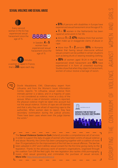## SEXUAL VIOLENCE AND SEXUAL ABUSE



Every second woman in the EU has experienced sexual harassment since the age of 15.



In Sweden, 4 in 5 women have experienced sexual harassment since the age of 15.

Every 7 minutes a woman is raped in France, that is  $205$  rapes each day.

- 61% of persons with disabilities in Europe have experienced sexual harassment since the age of 15.
- 1 in 10 women in the Netherlands has been raped at some point in her life.
- $\bullet$  Almost  $1$  in  $2$  (47%) Maltese think that women often make up or exaggerate claims of abuse or rape.
- $\bullet$  More than  $1$  in  $2$  persons ( $55\%$ ) in Romania believe that having sexual intercourse without sexual consent can be justified in certain situations such as being drunk or wearing revealing clothing.
- 85% of women aged 18-24 in the UK have experienced street harassment and **45%** have experienced it in form of unwanted touching. Studies show that when they object to harassment, women of colour receive a barrage of racism.



Dovilė Masalskienė, EWL Observatory expert from Lithuania, and from the Women's Issues Information Centre, reports: "In Lithuania, sexual violence from intimate partner is a taboo, and in a majority of cases it is not considered as violence, more as a duty of the spouse. When a case of domestic violence is reported, the physical violence might be taken into account but not the sexual violence. Victims of rape are still blamed and that is why they are afraid of reporting rape to the authorities. When women dare to report, they face secondary victimisation during the judicial process. There have been cases where even the judge blames the victim."





The **Sexual Violence Centre in Cork** (Ireland) provides a comprehensive set of services in order to support the daily struggle of women who have been victims of sexual violence and abuse. Recently, the Centre has been campaigning together with a coalition of more than 70 organisations for the improvement of the Irish law on sexual offences. The law has been adopted in 2017 and it defines sexual consent for the first time giving clarity to the legislation. Thanks to the advocacy work of women's organisations, organised through the coalition Turn Off the Red Light, the new legislation also tackles child pornography, incest, child sexual grooming and criminalises the purchase of sexual services. **More info:** http://www.sexualviolence.ie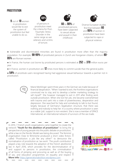## **PROSTITUTION**

 68%  $9$  out of  $10$  women

in prostitution would like to exit the system of prostitution but feel unable to do so.

of persons in prostitution meet the criteria for Post-Traumatic Stress Disorder in the same range as war veterans and victims of torture.



60 to 90% of prostituted persons have been subjected to sexual abuse and assault in their childhood.



Diverse European studies find that between  $60$ and 95% of women in prostitution have been subjected to rape or physical violence.

● Vulnerable and discriminated minorities are found in prostitution more often than the majority population. For example, **98-99%** of prostituted persons in Zurich are Hungarian citizens, of whom **80-**85% are Romani women.

 $\bullet$  In France, the human cost borne by prostituted persons is estimated at 252 to 370 million euros per year.

 $\bullet$  In France, women in prostitution are  $12$  times more likely to commit suicide than the general public.

 $\bullet$  54% of prostitute-users recognised having had aggressive sexual behaviour towards a partner not in prostitution.



Marie Merklinger spent three years in the German sex trade because of financial desperation. "When I wanted to exit, the frontline organisations convinced me to stay and to develop a better marketing strategy to sell myself". She however managed to exit in 2011 after finding work outside prostitution. When she lost her job, she became overwhelmed with trauma and sank into a state of powerlessness, desperation and depression. She searched for help and somebody to talk to but found, largely because of Germany's legalisation structure, that there was nothing and nobody to help her. In a country where prostitution is seen as a viable 'job', support is non-existent. She is now a member of SPACE International, an international network of survivors of the sex trade.

In 2013, 7 French youth organisations came together to create the network **"Youth for the abolition of prostitution"** to bring the perspective of young people into the public debate on prostitution, while a law on the Nordic Model was being discussed. The feminist organisation Osez le féminisme produced a short video fiction, called "Prostitution: a job like any other?" to denounce the normalisation of prostitution as 'sex work'. The youth contribution played a key role towards the adoption of the French abolitionist law in April 2016, which provides for the decriminalisation of and support to persons in prostitution, the criminalisation of all forms of pimping and procuring as well as of the buying of sex, and education programmes on equality and respect. **More info:** https://generationabolition.wordpress.com

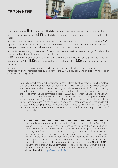## Trafficking in women



- $\bullet$  Women constitute  $85\%$  of the victims of trafficking for sexual exploitation, and are exploited in prostitution.
- $\bullet$  There may be as many as  $140,000$  sex-trafficking victims in Europe and around a third come from the Balkans.
- $\bullet$  A European study interviewing women who have been trafficked found out that nearly all women ( $95\%$ ) reported physical or sexual violence while in the trafficking situation, with three-quarters of respondents having been physically hurt, and **90%** reporting having been sexually assaulted.
- A 2014 European study on the demand for sexual services from trafficked women and girls found that the main motivation driving the purhcase of sex is 'to have control'.
- $\bullet$  80% of the Nigerian women who came to Italy by boat in the first half of 2016 were trafficked into prostitution. In 2016, 13,000 unaccompanied minors and more then 5,300 Nigerian women that have arrived in Italy.
- Human trafficking disproportionately affects minorities and disadvantaged groups such as ethnic minorities, migrants, homeless people, members of the LGBTQ population and children with histories of childhood sexual exploitation.

Born in Nigeria, Blessing lost her father and, as the eldest daughter, together with her mother, she had to provide for her three younger brothers. While she was visiting her village of origin, she met a woman who proposed her to go to Italy, where she would find a job. Blessing agreed in order to help her family. Once arrived in Prato, Italy, Blessing was prostituted, as she was told that she had contracted a debt of 30,000 euros, which she had to pay back. She was threatened that her family would be hurt if she did not obey. The other prostituted young women brought Blessing on the road and instructed her on what she should do with the buyers, and how much she had to ask. One day, when Blessing was alone in the apartment, she escaped. By begging money she bought a train ticket to go to Rome where she asked for help at the Cooperative Be Free, a women's association which helps and supports victims of trafficking in Italy.

The new French law on prostitution and trafficking in women, from April 2016, recognises the reality of sex trafficking which brings an overwhelming number of foreign women into prostitution. Therefore, the law permits the grant of a temporary residency permit as a protective measure for foreign victims even if they are not in a position to stand witness against their trafficking or pimping network. This provision is the result of the advocacy work of frontline NGOs which see the realities of prostitution and support victims and survivors in their journey towards a better life. Initiated by the frontline organisation Mouvement du Nid, the French coalition **Abolition2012**, gathering more than 60 NGOs committed to end violence against women, played a key role in bringing the voices of the most vulnerable women and girls in the public debate. **More info:** http://www.abolition2012.fr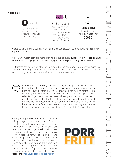## **PORNOGRAPHY**



is, in Europe, the average age of first exposure to Internet pornography.



years old  $2$  in  $3$  women in the porn industry suffer post-traumatic stress syndrome at the same level as war veterans and victims of torture.



Every second the online porn industry makes over

2,700 €

● Studies have shown that areas with higher circulation rates of pornographic magazines have **higher rape rates**.

● Men who watch porn are more likely to express attitudes **supporting violence against women** and engaging in acts of **sexual aggression and purchasing sex** than other men.

• Research has found that after being exposed to pornography, men reported being less satisfied with their partners' physical appearance, sexual performance, and level of affection and express greater desire for sex without emotional involvement.



In the book "Pimp State" (Kat Banyard, 2016), former porn performer Vanessa Belmond speaks out about her experiences of racism and violence in the porn industry: "They told me: "You're lucky you're not working for the Ghetto Gaggers (their black-themed site), we're meaner to the black girls." What a relief! Don't get me wrong, they were still plenty abusive towards me. I won't go into too much detail, but let's just say that after I was done with a shoot, I looked like I had been beaten up. Good thing they didn't cast me for the black site, because if they were meaner to black girls, I can only imagine what I would have looked like after that! If that isn't racism, I don't know what is."

Pornography promotes damaging stereotypes in its portrayal of women and men. To tackle I this, the Swedish Women's Lobby together their member organisations Unizon and Roks developed the campaign **Porrfritt** (Pornfree). The campaign demands a government inquiry to investigate the harmful effects of porn and it demands porn free spaces in society such as porn free schools and workplaces. Seminars on the harmful effects of pornography were held and a manifest was put forward that highlights the normalisation of porn; it also provides proposals of actions for a porn free society. **More info:** http://sverigeskvinnolobby.se/en

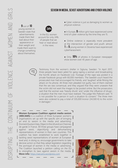# Sexism in media, sexist advertising and cyber violence

9 out of 10 young women in Sweden state that advertisements made them feel bad about their appearance or their weight and made them want to change something about themselves.



In the EU, women account for only 24% of people that we hear or read about in the news.

• Cyber violence is just as damaging to women as physical violence.

- In Europe, 9 million girls have experienced some kind of cyber violence by the time they are 15.
- Online violence is especially more prevalent at the intersection of gender and youth: almost  $1$  in  $5$  young women in Slovenia have experienced cyberharassment.
- Only 16% of photos in European newspaper show women over 45 years of age.



Testimony from the women's shelter in Sigtuna, Sweden: "In April 2017, three people have been jailed for gang raping a woman and broadcasting the horrific attack on Facebook Live. Footage of the rape was posted in a private Facebook group with 60,000 members. The Swedish court heard the prosecuted man had encouraged his friends, and 'laughed' while filming the attack on his phone. All three men pleaded not guilty, two of them claimed that the sex was consensual, and they argued that they were unaware that the victim did not want the images to be posted online. But the prosecutors said that the woman was 'heavily drunk' and 'under the influence of drugs', a situation that the men must have realised. The judge Nils Palbrant said: "It is not possible for a person in such a situation to consent." The three men were also ordered to pay a total of 335,000 kronor (34,500 €) to the victim in damages."

#### **Women European Coalition against media sexism**

**(WECAMS)** is a coalition of three European women's organisations set up with the specific aim of bringing an end to sexism in the media and advertising: DonneinQuota in Italy, Object in the UK and Les Chiennes de garde in France. All three groups have campaigned against sexist, objectifying and dehumanising representations of women in their own countries. This coalition has been established to work together in tackling sexist representations of women at European level and, in doing so, encourage governments to take decisive action so that they adopt legislation regarding the portrayal of women in the media or advertising. The Coalition launched a petition calling on the EU to strengthen its laws against sexism in the media. **More info:** https://wecams.wordpress.com

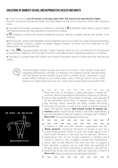# VIOLATIONS OF WOMEN'S SEXILAL AND REPRODUCTIVE HEALTH AND RIGHTS

● In the 21st century, **not all women in Europe enjoy their full sexual and reproductive rights.** Women's sexual and reproductive health and rights depend on the country they live in and on their migration status.

• The right to terminate a pregnancy is denied or restricted in  $4$  EU Member States (Malta, Cyprus, Ireland and Poland) and women face obstacles in some other countries.

• 17 European countries still require transgender persons seeking to legally change their gender to be sterilised.

● Roma women, women with disabilities, and transgender persons in Europe, face cases of forced sterilisation, which constitutes a serious violation to bodily integrity, freedom of choice and the entitlement to selfdetermination of reproductive life.

 $\bullet$  In Italy,  $70\%$  of gynaecologists working in public hospitals refuse to carry out abortions on the grounds of concientious objection, thus the right of women's self-determination regarding pregnancy is hindered.

● Surrogacy is a global trade with children and women that exploit women's bodies and their reproductive organs.



The Roma Rights Centre conveys the words of a survivor: "The moment I knew what happened [sterilisation], I thought it is because I am a Romani woman. We have been told that Romani women should not give birth to children at all, I remember a social worker telling it already to my mother, when I was a little girl. And it was so unfair, because my mother took care of six of us, alone. She has been hard-working all her life".





While the issue of surrogacy is being discussed in several EU countries, feminist organisations are building coalitions at national level to raise awareness of the reality of surrogacy and advocate for the prohibition of all forms. In Sweden, France, Spain, and Italy amongst others, networks are being created and bring the voices of survivors, as well as the values of women's human rights. The Spanish network **Red Estatal contra el alquiler de vientres** gathers more than 60 women's and LGBT organisations, and demonstrated in May 2017 against a surrogacy fair in Madrid. **More info:** http://www.noalquilesvientres.com

In Poland in 2016 and 2017, women's organisations led the "**Black protests**", mobilising thousands of people all over the country wearing black clothes to show their anger against a bill which would introduce a near-total ban on abortion. Women's organisations from all over Europe mobilised in solidarity with women in Poland in their struggle to ensure their fundamental human right to take decisions over their own lives. To support their demands, a petition and an open letter was launched at EU level calling the Polish authorities to promote a new bill that would finally ensure that women's rights are respected in Poland. **More info:** https://act.wemove.eu/campaigns/abortion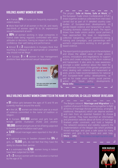## Violence against women at work

- . In France, 39% of nurses are frequently exposed to violent events.
- More than half of all women in the UK, and nearly two-thirds of women aged 18 to 24, experienced sexual harassment at work.
- 80% of women working in large companies in France state being regularly confronted with sexist confidence, their well-being and performance.
- Almost 1 in 2 respondents in Hungary think that touching a colleague in an appropriate or unwanted way should not be illegal.
- $\bullet$  In Europe,  $\overline{3}$  in  $\overline{4}$  women in top management positions have experienced sexual harassment.



The project '**Safe at Home, Safe at Work**' of the European Trade Union Confederation (ETUC) studies of European-level developments on gender-based violence and harassment at work, including domestic violence at work. The report shows how trade unions and/or social partners have approached the issue in negotiations, collective bargaining, union awareness-raising, women's organisations working to end genderbased violence.

and shows the added value of trade unions actions, innovations and negotiations to support victims and create workplaces free from violence and harassment. It also aims to raise awareness amongst a wider audience about the need for the systematic inclusion of the gender perspective when dealing with violence and harassment at work, and to make recommendations for national action and future policy developments. **More info:** https://www.etuc.org

## Male violence against women committed in the name of tradition, so-called 'honour' or religion

 $\bullet$  51 million girls between the ages of 15 and 19 are currently married around the world.

 $\bullet$  In the UK,  $12$  women are killed each year as a result of violence committed in the name of tradition or religion.

 $\bullet$  In Europe,  $500.000$  women and girls live with female gentile mutilation (FGM) and another

**180,000** women and girls are at risk of being subjected to female genital mutilation each year.

• 1,428 forced marriages were reported in the UK in 2016.

 $\bullet$  A national survey in Sweden showed that  $5\%$  of girls, or **70,000** girls, do not feel that they have the

- $\bullet$  It is estimated that  $3,780$  women living in Ireland have been subjected to FGM.
- $\bullet$  1 in 2 Romani women with low education is married by the age of 16.

The Belgian network '**Marriage and Migration**' is a coalition of around 15 NGOs working together to fight all forms of marriage (forced, precocious, arranged, traditional, therapeutic) which can deprive women and men from an essential freedom: to choose their partner. They have launched an information and prevention website about all forms of marriage finalised under constraint, and hold a helpline. The network's existence and visibility supports the implementation of the Belgian law which prohibits forced marriage, and gives a safe space for many **More info:** http://www.mariagemigration.org

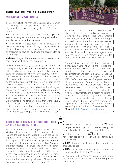### Institutional male violence against women

#### Violence against women in conflict

● In conflict situations, men use violence against women as a strategy or a weapon of war; this results in the objectification of women as symbols of 'conquered territory'.

● In conflict as well as post-conflict settings, girls and women in refugee camps are particularly vulnerable to sexual exploitation and sexual violence.

● Many female refugees report that in almost all of the countries they passed through, they experienced physical abuse and financial exploitation, being grouped or pressured to have sex by smugglers, security staff or other refugees.

 $\bullet$  75% of refugee children have expericed violence and assult by an adult along their migration route.

"A woman was physically assaulted by her father in her country of origin because she married a man from a different religion. Her father was a police officer and she could not protect herself in her own country. Therefore, she decided to leave the country. She arrived in Macedonia and asked for asylum. Her claim was refused by the authorities. Currently her case is in front of the constitutional court. During the decision making process the woman is being accommodated in the Vizbegovo asylum centre in Skopje: a collective facility where women are often exposed to gender-based violence. The facility is not lightened enough, not secure for women. There is limited access to hygiene facilities and to medical help. Other women have complained that they were sexually harassed by police personnel and social workers in the centre. However, these claims never went into procedure due to the fact that women were scared to report in order not to lose the asylum right." EWL #womensvoices report

#### WOMEN IN INSTITUTIONAL CARE, IN PRISONS, IN RETENTIC **CENTRES, IN RELIGIOUS INSTITUTIONS**  In Europe, women constitute on average 5% of the

EWL members in the Czech Republic report on the situation of the women who face obstetric violence: "During the provision of childbirth care in the Czech Republic, many women face obstetric violence. Probably up to 25 000 women per year experience a perineum cut with no medical justification. Women are often treated with drugs and subject to other interventions without informed and free consent. Separation of babies from their mothers is still the norm in many maternity hospitals. Data on the quality of care provided is not publically available. Competencies are denied to community midwives. There are no midwifery unit led centres in Czech Republic."



From 1991 to 2001, a series of conflicts took place on the territory of the Former Yugoslavia. During that time, ethnic, sexual and economic violence against women was rampant and rape was used as a tool for "ethnic cleansing". Neither international nor domestic trials adequately addressed these multiple forms of violence against women, and neither was focused on the interests of the victims. Women's organisations from the region set up a Women's Court in order to develop a feminist approach to justice.

A ground-breaking event, the Court took place in May 2015 in Sarajevo, Bosnia and Herzegovina, where women testified publicly about their experiences of ethnic and sexual violence, and about militarism and economic harms throughout the wars that engulfed the region during the 1990s. So far, there have been 7 regional meetings of the witnesses and 17 public presentations of the Women's Court. Other activities include a therapeutic team for supporting the women, solidarity network of the witnesses, alternative history, a documentary and a recently published book. Future aim is to organise local "mini" women's courts to deal with the following issues: ethnic based violence/discrimination, unprocessed war crimes, violation of women workers' rights, militarisation of the state and so on. **More info:** http://www.zenskisud.org/en

total penitentiary population; however, nearly 90% have suffered male violence throughout their lives.

 $\bullet$  In the UK, more than  $80\%$  of female prisoners have been locked up for non-violent offences such as shoplifting.

 $\bullet$  53% of women in UK prisons have experienced childhood abuse.

• 28% of older women in Europe have experienced violence or abuse in the last 12 months.

● Women with disabilities living in institutions are abused at twice the rate as those living in the community.